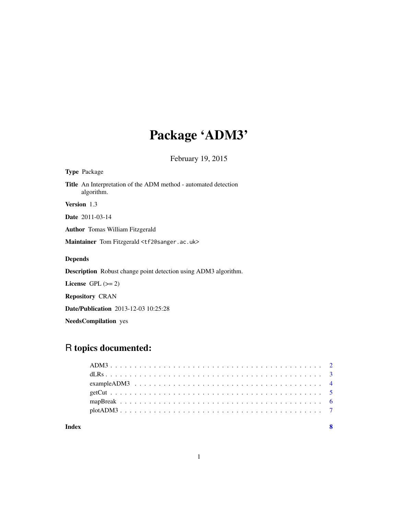## Package 'ADM3'

February 19, 2015

| <b>Type</b> Package                                                                  |
|--------------------------------------------------------------------------------------|
| <b>Title</b> An Interpretation of the ADM method - automated detection<br>algorithm. |
| <b>Version</b> 1.3                                                                   |
| <b>Date</b> 2011-03-14                                                               |
| <b>Author</b> Tomas William Fitzgerald                                               |
| Maintainer Tom Fitzgerald <tf2@sanger.ac.uk></tf2@sanger.ac.uk>                      |
| <b>Depends</b>                                                                       |
| <b>Description</b> Robust change point detection using ADM3 algorithm.               |
| License $GPL \, (= 2)$                                                               |
| <b>Repository CRAN</b>                                                               |
| <b>Date/Publication</b> 2013-12-03 10:25:28                                          |

NeedsCompilation yes

### R topics documented:

| Index |  |  |  |  |  |  |  |  |  |  |  |  |  |  |  |  | $\mathbf{8}$ |
|-------|--|--|--|--|--|--|--|--|--|--|--|--|--|--|--|--|--------------|
|       |  |  |  |  |  |  |  |  |  |  |  |  |  |  |  |  |              |
|       |  |  |  |  |  |  |  |  |  |  |  |  |  |  |  |  |              |
|       |  |  |  |  |  |  |  |  |  |  |  |  |  |  |  |  |              |
|       |  |  |  |  |  |  |  |  |  |  |  |  |  |  |  |  |              |
|       |  |  |  |  |  |  |  |  |  |  |  |  |  |  |  |  |              |
|       |  |  |  |  |  |  |  |  |  |  |  |  |  |  |  |  |              |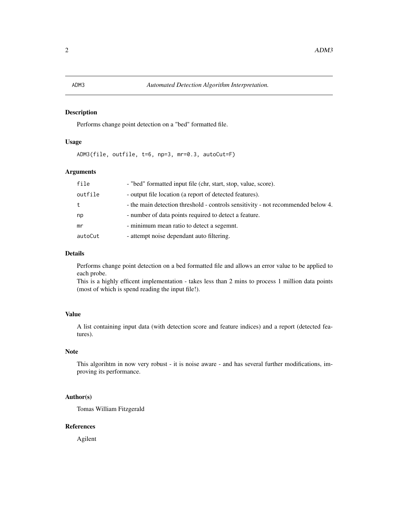### <span id="page-1-0"></span>Description

Performs change point detection on a "bed" formatted file.

#### Usage

ADM3(file, outfile, t=6, np=3, mr=0.3, autoCut=F)

#### Arguments

| file    | - "bed" formatted input file (chr, start, stop, value, score).                   |
|---------|----------------------------------------------------------------------------------|
| outfile | - output file location (a report of detected features).                          |
| t       | - the main detection threshold - controls sensitivity - not recommended below 4. |
| np      | - number of data points required to detect a feature.                            |
| mr      | - minimum mean ratio to detect a segemnt.                                        |
| autoCut | - attempt noise dependant auto filtering.                                        |

#### Details

Performs change point detection on a bed formatted file and allows an error value to be applied to each probe.

This is a highly efficent implementation - takes less than 2 mins to process 1 million data points (most of which is spend reading the input file!).

#### Value

A list containing input data (with detection score and feature indices) and a report (detected features).

#### Note

This algorihtm in now very robust - it is noise aware - and has several further modifications, improving its performance.

#### Author(s)

Tomas William Fitzgerald

#### References

Agilent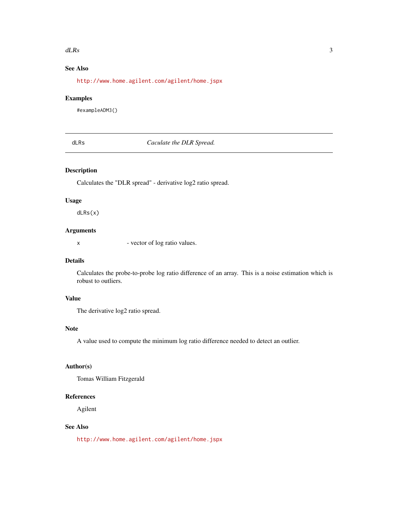#### <span id="page-2-0"></span> $d\text{LRs}$  3

#### See Also

<http://www.home.agilent.com/agilent/home.jspx>

#### Examples

#exampleADM3()

#### dLRs *Caculate the DLR Spread.*

#### Description

Calculates the "DLR spread" - derivative log2 ratio spread.

#### Usage

dLRs(x)

#### Arguments

x - vector of log ratio values.

#### Details

Calculates the probe-to-probe log ratio difference of an array. This is a noise estimation which is robust to outliers.

#### Value

The derivative log2 ratio spread.

#### Note

A value used to compute the minimum log ratio difference needed to detect an outlier.

#### Author(s)

Tomas William Fitzgerald

#### References

Agilent

#### See Also

<http://www.home.agilent.com/agilent/home.jspx>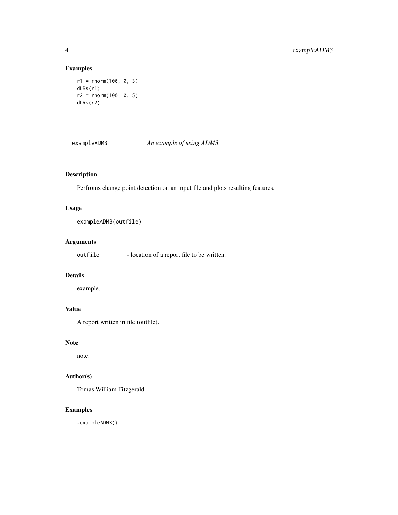#### Examples

```
r1 = rnorm(100, 0, 3)
dLRs(r1)
r2 = rnorm(100, 0, 5)
dLRs(r2)
```
exampleADM3 *An example of using ADM3.*

#### Description

Perfroms change point detection on an input file and plots resulting features.

#### Usage

exampleADM3(outfile)

#### Arguments

outfile - location of a report file to be written.

#### Details

example.

#### Value

A report written in file (outfile).

#### Note

note.

#### Author(s)

Tomas William Fitzgerald

#### Examples

#exampleADM3()

<span id="page-3-0"></span>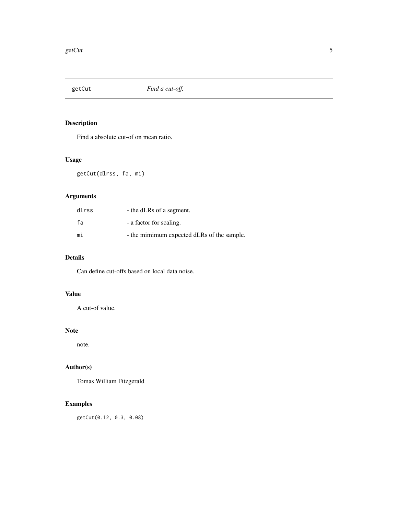<span id="page-4-0"></span>

#### Description

Find a absolute cut-of on mean ratio.

#### Usage

getCut(dlrss, fa, mi)

#### Arguments

| dlrss | - the dLRs of a segment.                   |
|-------|--------------------------------------------|
| fa    | - a factor for scaling.                    |
| mi    | - the mimimum expected dLRs of the sample. |

#### Details

Can define cut-offs based on local data noise.

#### Value

A cut-of value.

#### Note

note.

#### Author(s)

Tomas William Fitzgerald

#### Examples

getCut(0.12, 0.3, 0.08)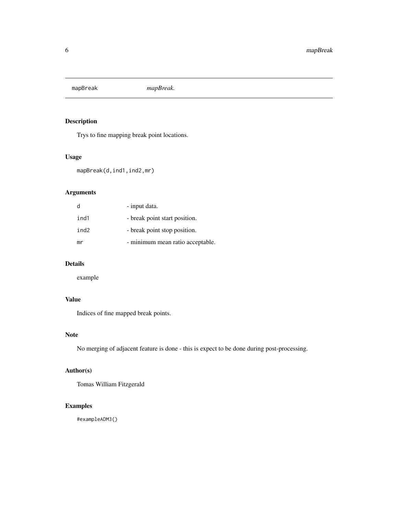<span id="page-5-0"></span>mapBreak *mapBreak.*

#### Description

Trys to fine mapping break point locations.

#### Usage

mapBreak(d,ind1,ind2,mr)

#### Arguments

| d    | - input data.                    |
|------|----------------------------------|
| ind1 | - break point start position.    |
| ind2 | - break point stop position.     |
| mr   | - minimum mean ratio acceptable. |

#### Details

example

#### Value

Indices of fine mapped break points.

#### Note

No merging of adjacent feature is done - this is expect to be done during post-processing.

#### Author(s)

Tomas William Fitzgerald

#### Examples

#exampleADM3()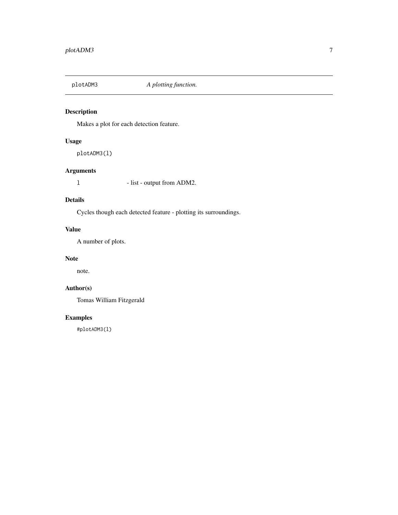<span id="page-6-0"></span>

#### Description

Makes a plot for each detection feature.

#### Usage

plotADM3(l)

#### Arguments

1 - list - output from ADM2.

#### Details

Cycles though each detected feature - plotting its surroundings.

#### Value

A number of plots.

#### Note

note.

#### Author(s)

Tomas William Fitzgerald

#### Examples

#plotADM3(l)